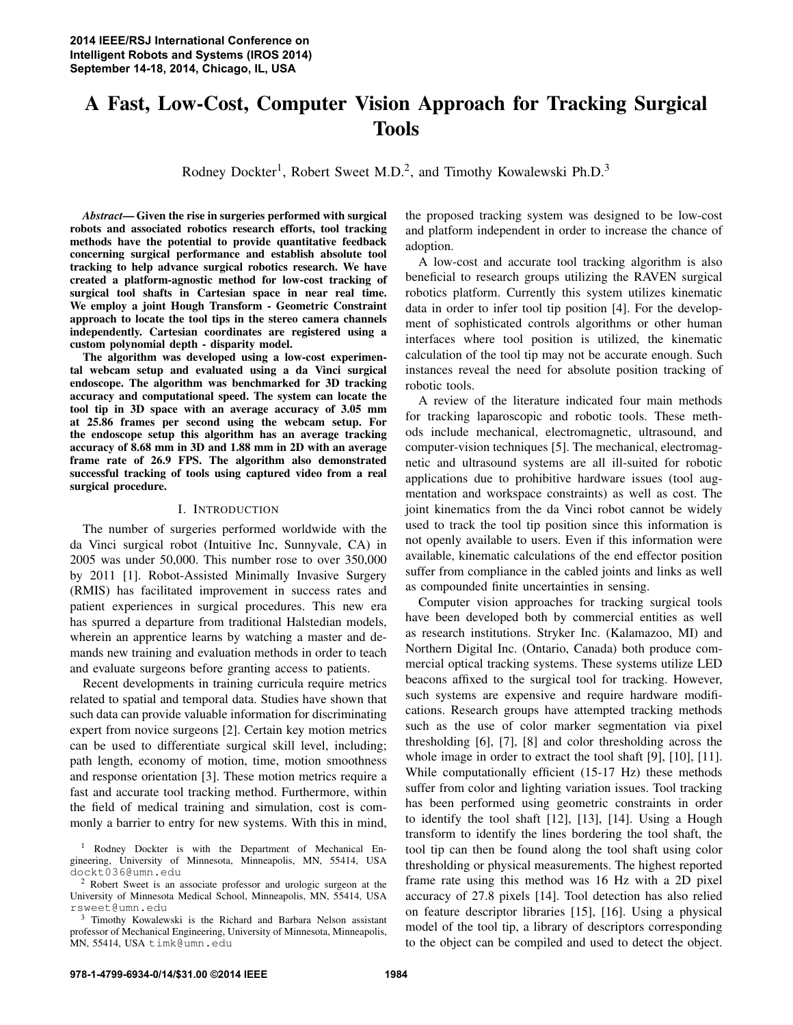# A Fast, Low-Cost, Computer Vision Approach for Tracking Surgical Tools

Rodney Dockter<sup>1</sup>, Robert Sweet M.D.<sup>2</sup>, and Timothy Kowalewski Ph.D.<sup>3</sup>

*Abstract*— Given the rise in surgeries performed with surgical robots and associated robotics research efforts, tool tracking methods have the potential to provide quantitative feedback concerning surgical performance and establish absolute tool tracking to help advance surgical robotics research. We have created a platform-agnostic method for low-cost tracking of surgical tool shafts in Cartesian space in near real time. We employ a joint Hough Transform - Geometric Constraint approach to locate the tool tips in the stereo camera channels independently. Cartesian coordinates are registered using a custom polynomial depth - disparity model.

The algorithm was developed using a low-cost experimental webcam setup and evaluated using a da Vinci surgical endoscope. The algorithm was benchmarked for 3D tracking accuracy and computational speed. The system can locate the tool tip in 3D space with an average accuracy of 3.05 mm at 25.86 frames per second using the webcam setup. For the endoscope setup this algorithm has an average tracking accuracy of 8.68 mm in 3D and 1.88 mm in 2D with an average frame rate of 26.9 FPS. The algorithm also demonstrated successful tracking of tools using captured video from a real surgical procedure.

#### I. INTRODUCTION

The number of surgeries performed worldwide with the da Vinci surgical robot (Intuitive Inc, Sunnyvale, CA) in 2005 was under 50,000. This number rose to over 350,000 by 2011 [1]. Robot-Assisted Minimally Invasive Surgery (RMIS) has facilitated improvement in success rates and patient experiences in surgical procedures. This new era has spurred a departure from traditional Halstedian models, wherein an apprentice learns by watching a master and demands new training and evaluation methods in order to teach and evaluate surgeons before granting access to patients.

Recent developments in training curricula require metrics related to spatial and temporal data. Studies have shown that such data can provide valuable information for discriminating expert from novice surgeons [2]. Certain key motion metrics can be used to differentiate surgical skill level, including; path length, economy of motion, time, motion smoothness and response orientation [3]. These motion metrics require a fast and accurate tool tracking method. Furthermore, within the field of medical training and simulation, cost is commonly a barrier to entry for new systems. With this in mind,

the proposed tracking system was designed to be low-cost and platform independent in order to increase the chance of adoption.

A low-cost and accurate tool tracking algorithm is also beneficial to research groups utilizing the RAVEN surgical robotics platform. Currently this system utilizes kinematic data in order to infer tool tip position [4]. For the development of sophisticated controls algorithms or other human interfaces where tool position is utilized, the kinematic calculation of the tool tip may not be accurate enough. Such instances reveal the need for absolute position tracking of robotic tools.

A review of the literature indicated four main methods for tracking laparoscopic and robotic tools. These methods include mechanical, electromagnetic, ultrasound, and computer-vision techniques [5]. The mechanical, electromagnetic and ultrasound systems are all ill-suited for robotic applications due to prohibitive hardware issues (tool augmentation and workspace constraints) as well as cost. The joint kinematics from the da Vinci robot cannot be widely used to track the tool tip position since this information is not openly available to users. Even if this information were available, kinematic calculations of the end effector position suffer from compliance in the cabled joints and links as well as compounded finite uncertainties in sensing.

Computer vision approaches for tracking surgical tools have been developed both by commercial entities as well as research institutions. Stryker Inc. (Kalamazoo, MI) and Northern Digital Inc. (Ontario, Canada) both produce commercial optical tracking systems. These systems utilize LED beacons affixed to the surgical tool for tracking. However, such systems are expensive and require hardware modifications. Research groups have attempted tracking methods such as the use of color marker segmentation via pixel thresholding [6], [7], [8] and color thresholding across the whole image in order to extract the tool shaft [9], [10], [11]. While computationally efficient (15-17 Hz) these methods suffer from color and lighting variation issues. Tool tracking has been performed using geometric constraints in order to identify the tool shaft [12], [13], [14]. Using a Hough transform to identify the lines bordering the tool shaft, the tool tip can then be found along the tool shaft using color thresholding or physical measurements. The highest reported frame rate using this method was 16 Hz with a 2D pixel accuracy of 27.8 pixels [14]. Tool detection has also relied on feature descriptor libraries [15], [16]. Using a physical model of the tool tip, a library of descriptors corresponding to the object can be compiled and used to detect the object.

<sup>1</sup> Rodney Dockter is with the Department of Mechanical Engineering, University of Minnesota, Minneapolis, MN, 55414, USA dockt036@umn.edu

<sup>2</sup> Robert Sweet is an associate professor and urologic surgeon at the University of Minnesota Medical School, Minneapolis, MN, 55414, USA rsweet@umn.edu

<sup>&</sup>lt;sup>3</sup> Timothy Kowalewski is the Richard and Barbara Nelson assistant professor of Mechanical Engineering, University of Minnesota, Minneapolis, MN, 55414, USA timk@umn.edu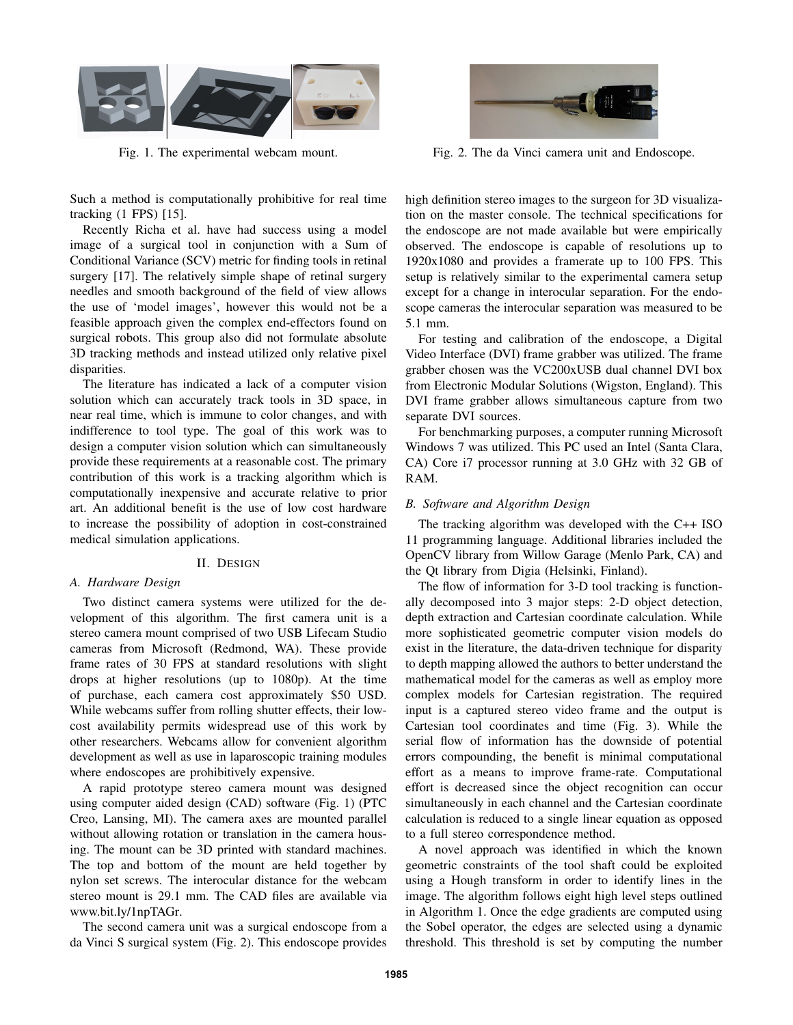

Fig. 1. The experimental webcam mount.



Fig. 2. The da Vinci camera unit and Endoscope.

Such a method is computationally prohibitive for real time tracking (1 FPS) [15].

Recently Richa et al. have had success using a model image of a surgical tool in conjunction with a Sum of Conditional Variance (SCV) metric for finding tools in retinal surgery [17]. The relatively simple shape of retinal surgery needles and smooth background of the field of view allows the use of 'model images', however this would not be a feasible approach given the complex end-effectors found on surgical robots. This group also did not formulate absolute 3D tracking methods and instead utilized only relative pixel disparities.

The literature has indicated a lack of a computer vision solution which can accurately track tools in 3D space, in near real time, which is immune to color changes, and with indifference to tool type. The goal of this work was to design a computer vision solution which can simultaneously provide these requirements at a reasonable cost. The primary contribution of this work is a tracking algorithm which is computationally inexpensive and accurate relative to prior art. An additional benefit is the use of low cost hardware to increase the possibility of adoption in cost-constrained medical simulation applications.

## II. DESIGN

#### *A. Hardware Design*

Two distinct camera systems were utilized for the development of this algorithm. The first camera unit is a stereo camera mount comprised of two USB Lifecam Studio cameras from Microsoft (Redmond, WA). These provide frame rates of 30 FPS at standard resolutions with slight drops at higher resolutions (up to 1080p). At the time of purchase, each camera cost approximately \$50 USD. While webcams suffer from rolling shutter effects, their lowcost availability permits widespread use of this work by other researchers. Webcams allow for convenient algorithm development as well as use in laparoscopic training modules where endoscopes are prohibitively expensive.

A rapid prototype stereo camera mount was designed using computer aided design (CAD) software (Fig. 1) (PTC Creo, Lansing, MI). The camera axes are mounted parallel without allowing rotation or translation in the camera housing. The mount can be 3D printed with standard machines. The top and bottom of the mount are held together by nylon set screws. The interocular distance for the webcam stereo mount is 29.1 mm. The CAD files are available via www.bit.ly/1npTAGr.

The second camera unit was a surgical endoscope from a da Vinci S surgical system (Fig. 2). This endoscope provides

high definition stereo images to the surgeon for 3D visualization on the master console. The technical specifications for the endoscope are not made available but were empirically observed. The endoscope is capable of resolutions up to 1920x1080 and provides a framerate up to 100 FPS. This setup is relatively similar to the experimental camera setup except for a change in interocular separation. For the endoscope cameras the interocular separation was measured to be 5.1 mm.

For testing and calibration of the endoscope, a Digital Video Interface (DVI) frame grabber was utilized. The frame grabber chosen was the VC200xUSB dual channel DVI box from Electronic Modular Solutions (Wigston, England). This DVI frame grabber allows simultaneous capture from two separate DVI sources.

For benchmarking purposes, a computer running Microsoft Windows 7 was utilized. This PC used an Intel (Santa Clara, CA) Core i7 processor running at 3.0 GHz with 32 GB of RAM.

# *B. Software and Algorithm Design*

The tracking algorithm was developed with the C++ ISO 11 programming language. Additional libraries included the OpenCV library from Willow Garage (Menlo Park, CA) and the Qt library from Digia (Helsinki, Finland).

The flow of information for 3-D tool tracking is functionally decomposed into 3 major steps: 2-D object detection, depth extraction and Cartesian coordinate calculation. While more sophisticated geometric computer vision models do exist in the literature, the data-driven technique for disparity to depth mapping allowed the authors to better understand the mathematical model for the cameras as well as employ more complex models for Cartesian registration. The required input is a captured stereo video frame and the output is Cartesian tool coordinates and time (Fig. 3). While the serial flow of information has the downside of potential errors compounding, the benefit is minimal computational effort as a means to improve frame-rate. Computational effort is decreased since the object recognition can occur simultaneously in each channel and the Cartesian coordinate calculation is reduced to a single linear equation as opposed to a full stereo correspondence method.

A novel approach was identified in which the known geometric constraints of the tool shaft could be exploited using a Hough transform in order to identify lines in the image. The algorithm follows eight high level steps outlined in Algorithm 1. Once the edge gradients are computed using the Sobel operator, the edges are selected using a dynamic threshold. This threshold is set by computing the number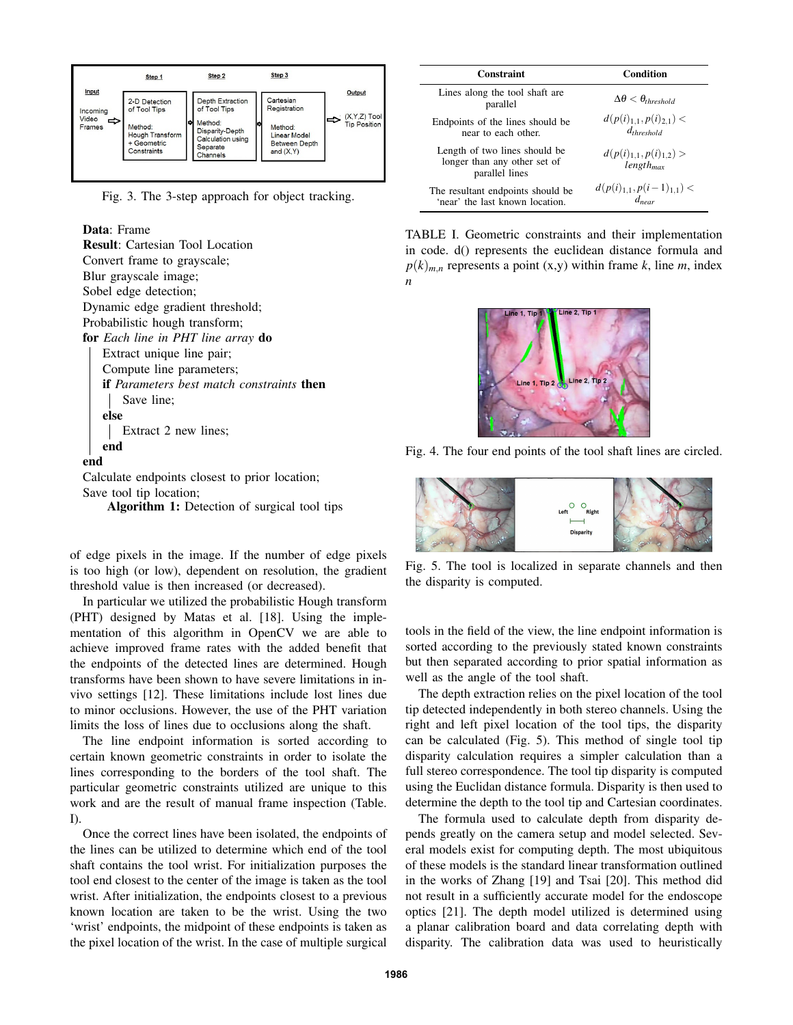

Fig. 3. The 3-step approach for object tracking.

# Data: Frame

Result: Cartesian Tool Location Convert frame to grayscale; Blur grayscale image; Sobel edge detection; Dynamic edge gradient threshold; Probabilistic hough transform; for *Each line in PHT line array* do Extract unique line pair; Compute line parameters; if *Parameters best match constraints* then Save line; else Extract 2 new lines; end end Calculate endpoints closest to prior location; Save tool tip location;

Algorithm 1: Detection of surgical tool tips

of edge pixels in the image. If the number of edge pixels is too high (or low), dependent on resolution, the gradient threshold value is then increased (or decreased).

In particular we utilized the probabilistic Hough transform (PHT) designed by Matas et al. [18]. Using the implementation of this algorithm in OpenCV we are able to achieve improved frame rates with the added benefit that the endpoints of the detected lines are determined. Hough transforms have been shown to have severe limitations in invivo settings [12]. These limitations include lost lines due to minor occlusions. However, the use of the PHT variation limits the loss of lines due to occlusions along the shaft.

The line endpoint information is sorted according to certain known geometric constraints in order to isolate the lines corresponding to the borders of the tool shaft. The particular geometric constraints utilized are unique to this work and are the result of manual frame inspection (Table. I).

Once the correct lines have been isolated, the endpoints of the lines can be utilized to determine which end of the tool shaft contains the tool wrist. For initialization purposes the tool end closest to the center of the image is taken as the tool wrist. After initialization, the endpoints closest to a previous known location are taken to be the wrist. Using the two 'wrist' endpoints, the midpoint of these endpoints is taken as the pixel location of the wrist. In the case of multiple surgical

| Constraint                                                                      | Condition                                        |  |
|---------------------------------------------------------------------------------|--------------------------------------------------|--|
| Lines along the tool shaft are.<br>parallel                                     | $\Delta\theta < \theta_{threshold}$              |  |
| Endpoints of the lines should be<br>near to each other.                         | $d(p(i)_{1,1}, p(i)_{2,1}) <$<br>$d_{threshold}$ |  |
| Length of two lines should be<br>longer than any other set of<br>parallel lines | $d(p(i)_{1,1}, p(i)_{1,2}) >$<br>$length_{max}$  |  |
| The resultant endpoints should be.<br>'near' the last known location.           | $d(p(i)_{1,1}, p(i-1)_{1,1}) <$                  |  |





Fig. 4. The four end points of the tool shaft lines are circled.



Fig. 5. The tool is localized in separate channels and then the disparity is computed.

tools in the field of the view, the line endpoint information is sorted according to the previously stated known constraints but then separated according to prior spatial information as well as the angle of the tool shaft.

The depth extraction relies on the pixel location of the tool tip detected independently in both stereo channels. Using the right and left pixel location of the tool tips, the disparity can be calculated (Fig. 5). This method of single tool tip disparity calculation requires a simpler calculation than a full stereo correspondence. The tool tip disparity is computed using the Euclidan distance formula. Disparity is then used to determine the depth to the tool tip and Cartesian coordinates.

The formula used to calculate depth from disparity depends greatly on the camera setup and model selected. Several models exist for computing depth. The most ubiquitous of these models is the standard linear transformation outlined in the works of Zhang [19] and Tsai [20]. This method did not result in a sufficiently accurate model for the endoscope optics [21]. The depth model utilized is determined using a planar calibration board and data correlating depth with disparity. The calibration data was used to heuristically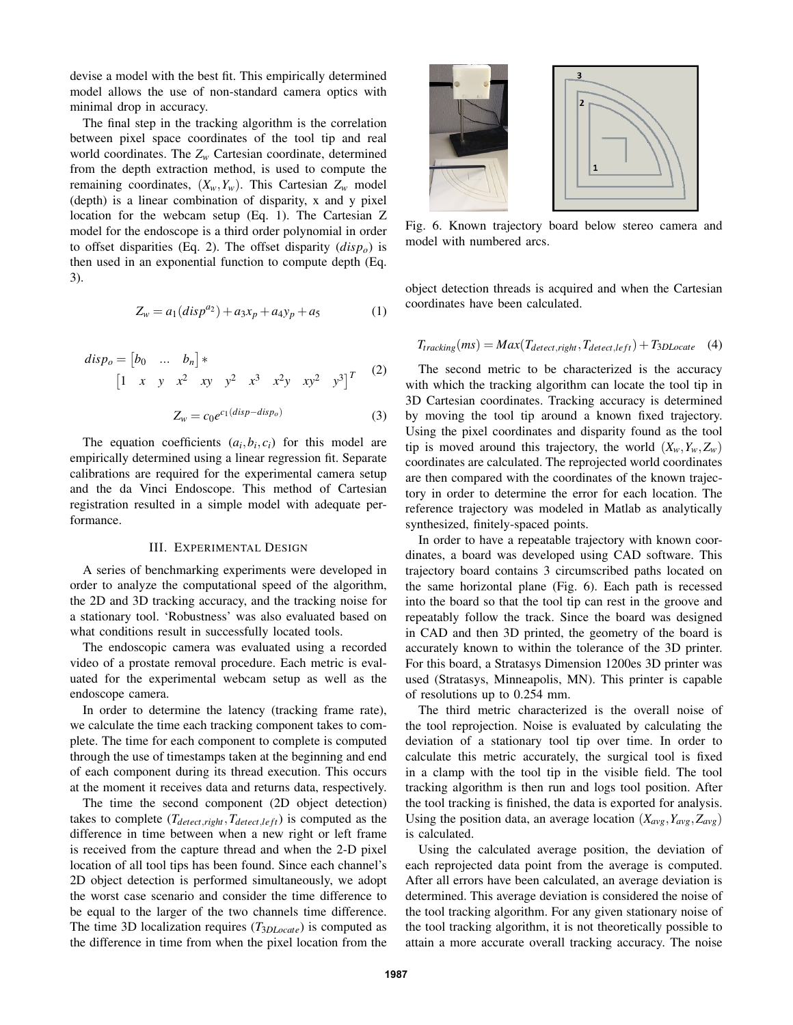devise a model with the best fit. This empirically determined model allows the use of non-standard camera optics with minimal drop in accuracy.

The final step in the tracking algorithm is the correlation between pixel space coordinates of the tool tip and real world coordinates. The *Z<sup>w</sup>* Cartesian coordinate, determined from the depth extraction method, is used to compute the remaining coordinates,  $(X_w, Y_w)$ . This Cartesian  $Z_w$  model (depth) is a linear combination of disparity, x and y pixel location for the webcam setup (Eq. 1). The Cartesian Z model for the endoscope is a third order polynomial in order to offset disparities (Eq. 2). The offset disparity (*dispo*) is then used in an exponential function to compute depth (Eq. 3).

$$
Z_w = a_1(disp^{a_2}) + a_3x_p + a_4y_p + a_5 \tag{1}
$$

$$
disp_o = [b_0 \dots b_n] *
$$
  
\n[1 \ x \ y \ x<sup>2</sup> \ xy \ y<sup>2</sup> \ x<sup>3</sup> \ x<sup>2</sup> \ xy<sup>2</sup> \ y<sup>3</sup>]<sup>T</sup> (2)

$$
Z_w = c_0 e^{c_1(disp - disp_o)} \tag{3}
$$

The equation coefficients  $(a_i, b_i, c_i)$  for this model are empirically determined using a linear regression fit. Separate calibrations are required for the experimental camera setup and the da Vinci Endoscope. This method of Cartesian registration resulted in a simple model with adequate performance.

#### III. EXPERIMENTAL DESIGN

A series of benchmarking experiments were developed in order to analyze the computational speed of the algorithm, the 2D and 3D tracking accuracy, and the tracking noise for a stationary tool. 'Robustness' was also evaluated based on what conditions result in successfully located tools.

The endoscopic camera was evaluated using a recorded video of a prostate removal procedure. Each metric is evaluated for the experimental webcam setup as well as the endoscope camera.

In order to determine the latency (tracking frame rate), we calculate the time each tracking component takes to complete. The time for each component to complete is computed through the use of timestamps taken at the beginning and end of each component during its thread execution. This occurs at the moment it receives data and returns data, respectively.

The time the second component (2D object detection) takes to complete (*Tdetect*,*right*,*Tdetect*,*le ft*) is computed as the difference in time between when a new right or left frame is received from the capture thread and when the 2-D pixel location of all tool tips has been found. Since each channel's 2D object detection is performed simultaneously, we adopt the worst case scenario and consider the time difference to be equal to the larger of the two channels time difference. The time 3D localization requires (*T*3*DLocate*) is computed as the difference in time from when the pixel location from the



Fig. 6. Known trajectory board below stereo camera and model with numbered arcs.

object detection threads is acquired and when the Cartesian coordinates have been calculated.

$$
T_{tracking}(ms) = Max(T_{detect, right}, T_{detect, left}) + T_{3DLocate}
$$
 (4)

The second metric to be characterized is the accuracy with which the tracking algorithm can locate the tool tip in 3D Cartesian coordinates. Tracking accuracy is determined by moving the tool tip around a known fixed trajectory. Using the pixel coordinates and disparity found as the tool tip is moved around this trajectory, the world  $(X_w, Y_w, Z_w)$ coordinates are calculated. The reprojected world coordinates are then compared with the coordinates of the known trajectory in order to determine the error for each location. The reference trajectory was modeled in Matlab as analytically synthesized, finitely-spaced points.

In order to have a repeatable trajectory with known coordinates, a board was developed using CAD software. This trajectory board contains 3 circumscribed paths located on the same horizontal plane (Fig. 6). Each path is recessed into the board so that the tool tip can rest in the groove and repeatably follow the track. Since the board was designed in CAD and then 3D printed, the geometry of the board is accurately known to within the tolerance of the 3D printer. For this board, a Stratasys Dimension 1200es 3D printer was used (Stratasys, Minneapolis, MN). This printer is capable of resolutions up to 0.254 mm.

The third metric characterized is the overall noise of the tool reprojection. Noise is evaluated by calculating the deviation of a stationary tool tip over time. In order to calculate this metric accurately, the surgical tool is fixed in a clamp with the tool tip in the visible field. The tool tracking algorithm is then run and logs tool position. After the tool tracking is finished, the data is exported for analysis. Using the position data, an average location  $(X_{avg}, Y_{avg}, Z_{avg})$ is calculated.

Using the calculated average position, the deviation of each reprojected data point from the average is computed. After all errors have been calculated, an average deviation is determined. This average deviation is considered the noise of the tool tracking algorithm. For any given stationary noise of the tool tracking algorithm, it is not theoretically possible to attain a more accurate overall tracking accuracy. The noise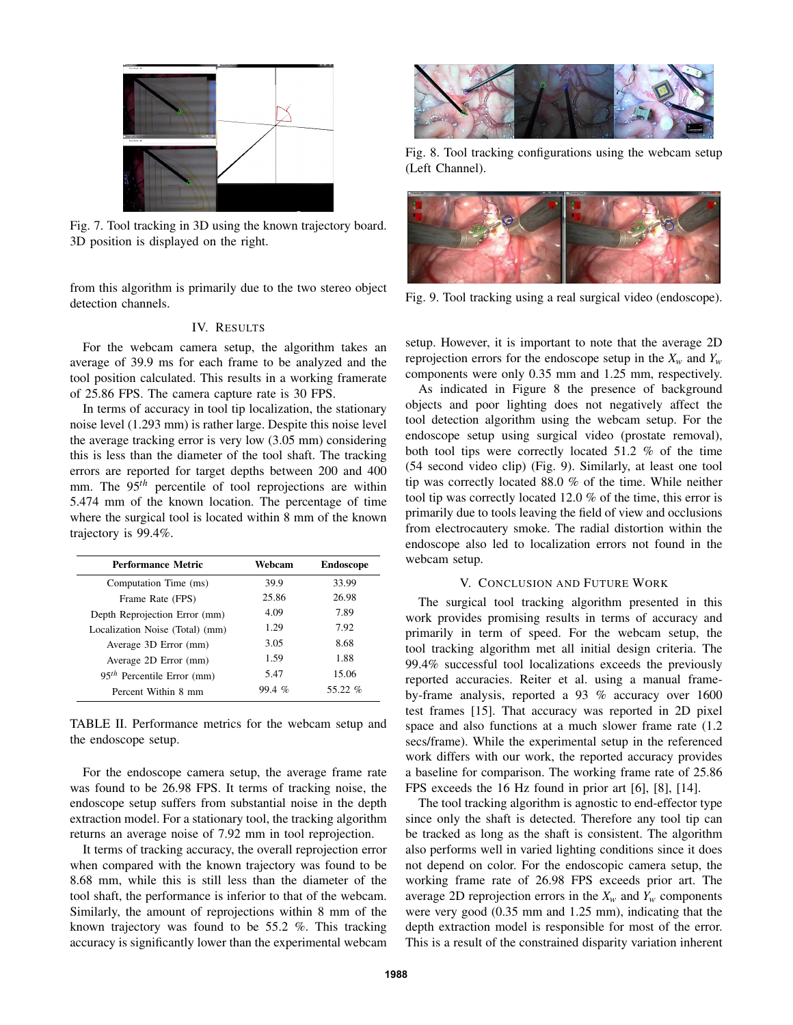

Fig. 7. Tool tracking in 3D using the known trajectory board. 3D position is displayed on the right.

from this algorithm is primarily due to the two stereo object detection channels.

# IV. RESULTS

For the webcam camera setup, the algorithm takes an average of 39.9 ms for each frame to be analyzed and the tool position calculated. This results in a working framerate of 25.86 FPS. The camera capture rate is 30 FPS.

In terms of accuracy in tool tip localization, the stationary noise level (1.293 mm) is rather large. Despite this noise level the average tracking error is very low (3.05 mm) considering this is less than the diameter of the tool shaft. The tracking errors are reported for target depths between 200 and 400 mm. The 95*th* percentile of tool reprojections are within 5.474 mm of the known location. The percentage of time where the surgical tool is located within 8 mm of the known trajectory is 99.4%.

| Performance Metric              | Webcam | <b>Endoscope</b> |
|---------------------------------|--------|------------------|
| Computation Time (ms)           | 39.9   | 33.99            |
| Frame Rate (FPS)                | 25.86  | 26.98            |
| Depth Reprojection Error (mm)   | 4.09   | 7.89             |
| Localization Noise (Total) (mm) | 1.29   | 7.92             |
| Average 3D Error (mm)           | 3.05   | 8.68             |
| Average 2D Error (mm)           | 1.59   | 1.88             |
| $95th$ Percentile Error (mm)    | 5.47   | 15.06            |
| Percent Within 8 mm             | 99.4%  | 55.22 %          |

TABLE II. Performance metrics for the webcam setup and the endoscope setup.

For the endoscope camera setup, the average frame rate was found to be 26.98 FPS. It terms of tracking noise, the endoscope setup suffers from substantial noise in the depth extraction model. For a stationary tool, the tracking algorithm returns an average noise of 7.92 mm in tool reprojection.

It terms of tracking accuracy, the overall reprojection error when compared with the known trajectory was found to be 8.68 mm, while this is still less than the diameter of the tool shaft, the performance is inferior to that of the webcam. Similarly, the amount of reprojections within 8 mm of the known trajectory was found to be 55.2 %. This tracking accuracy is significantly lower than the experimental webcam



Fig. 8. Tool tracking configurations using the webcam setup (Left Channel).



Fig. 9. Tool tracking using a real surgical video (endoscope).

setup. However, it is important to note that the average 2D reprojection errors for the endoscope setup in the  $X_w$  and  $Y_w$ components were only 0.35 mm and 1.25 mm, respectively.

As indicated in Figure 8 the presence of background objects and poor lighting does not negatively affect the tool detection algorithm using the webcam setup. For the endoscope setup using surgical video (prostate removal), both tool tips were correctly located 51.2 % of the time (54 second video clip) (Fig. 9). Similarly, at least one tool tip was correctly located 88.0 % of the time. While neither tool tip was correctly located 12.0 % of the time, this error is primarily due to tools leaving the field of view and occlusions from electrocautery smoke. The radial distortion within the endoscope also led to localization errors not found in the webcam setup.

## V. CONCLUSION AND FUTURE WORK

The surgical tool tracking algorithm presented in this work provides promising results in terms of accuracy and primarily in term of speed. For the webcam setup, the tool tracking algorithm met all initial design criteria. The 99.4% successful tool localizations exceeds the previously reported accuracies. Reiter et al. using a manual frameby-frame analysis, reported a 93 % accuracy over 1600 test frames [15]. That accuracy was reported in 2D pixel space and also functions at a much slower frame rate (1.2 secs/frame). While the experimental setup in the referenced work differs with our work, the reported accuracy provides a baseline for comparison. The working frame rate of 25.86 FPS exceeds the 16 Hz found in prior art [6], [8], [14].

The tool tracking algorithm is agnostic to end-effector type since only the shaft is detected. Therefore any tool tip can be tracked as long as the shaft is consistent. The algorithm also performs well in varied lighting conditions since it does not depend on color. For the endoscopic camera setup, the working frame rate of 26.98 FPS exceeds prior art. The average 2D reprojection errors in the  $X_w$  and  $Y_w$  components were very good (0.35 mm and 1.25 mm), indicating that the depth extraction model is responsible for most of the error. This is a result of the constrained disparity variation inherent